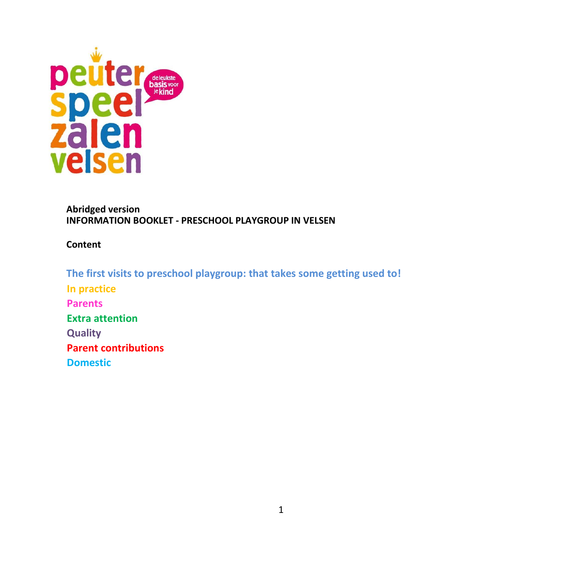

#### **Abridged version INFORMATION BOOKLET - PRESCHOOL PLAYGROUP IN VELSEN**

**Content**

**The first visits to preschool playgroup: that takes some getting used to! In practice Parents Extra attention Quality Parent contributions Domestic**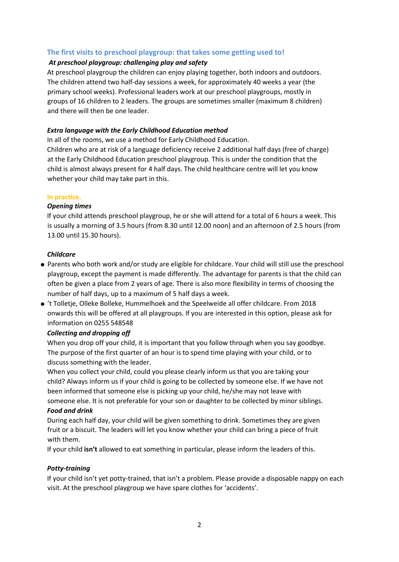# **The first visits to preschool playgroup: that takes some getting used to!**

# *At preschool playgroup: challenging play and safety*

At preschool playgroup the children can enjoy playing together, both indoors and outdoors. The children attend two half-day sessions a week, for approximately 40 weeks a year (the primary school weeks). Professional leaders work at our preschool playgroups, mostly in groups of 16 children to 2 leaders. The groups are sometimes smaller (maximum 8 children) and there will then be one leader.

# *Extra language with the Early Childhood Education method*

In all of the rooms, we use a method for Early Childhood Education.

Children who are at risk of a language deficiency receive 2 additional half days (free of charge) at the Early Childhood Education preschool playgroup. This is under the condition that the child is almost always present for 4 half days. The child healthcare centre will let you know whether your child may take part in this.

# **In practice.**

# *Opening times*

If your child attends preschool playgroup, he or she will attend for a total of 6 hours a week. This is usually a morning of 3.5 hours (from 8.30 until 12.00 noon) and an afternoon of 2.5 hours (from 13.00 until 15.30 hours).

# *Childcare*

- Parents who both work and/or study are eligible for childcare. Your child will still use the preschool playgroup, except the payment is made differently. The advantage for parents is that the child can often be given a place from 2 years of age. There is also more flexibility in terms of choosing the number of half days, up to a maximum of 5 half days a week.
- 't Tolletje, Olleke Bolleke, Hummelhoek and the Speelweide all offer childcare. From 2018 onwards this will be offered at all playgroups. If you are interested in this option, please ask for information on 0255 548548

# *Collecting and dropping off*

When you drop off your child, it is important that you follow through when you say goodbye. The purpose of the first quarter of an hour is to spend time playing with your child, or to discuss something with the leader.

When you collect your child, could you please clearly inform us that you are taking your child? Always inform us if your child is going to be collected by someone else. If we have not been informed that someone else is picking up your child, he/she may not leave with someone else. It is not preferable for your son or daughter to be collected by minor siblings. *Food and drink*

During each half day, your child will be given something to drink. Sometimes they are given fruit or a biscuit. The leaders will let you know whether your child can bring a piece of fruit with them.

If your child **isn't** allowed to eat something in particular, please inform the leaders of this.

# *Potty-training*

If your child isn't yet potty-trained, that isn't a problem. Please provide a disposable nappy on each visit. At the preschool playgroup we have spare clothes for 'accidents'.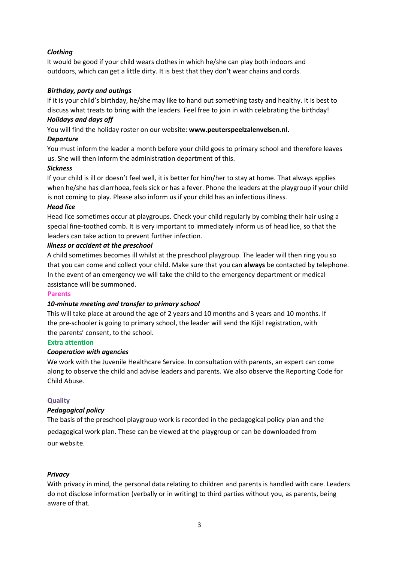# *Clothing*

It would be good if your child wears clothes in which he/she can play both indoors and outdoors, which can get a little dirty. It is best that they don't wear chains and cords.

# *Birthday, party and outings*

If it is your child's birthday, he/she may like to hand out something tasty and healthy. It is best to discuss what treats to bring with the leaders. Feel free to join in with celebrating the birthday!

# *Holidays and days off*

You will find the holiday roster on our website: **www.peuterspeelzalenvelsen.nl.** 

## *Departure*

You must inform the leader a month before your child goes to primary school and therefore leaves us. She will then inform the administration department of this.

## *Sickness*

If your child is ill or doesn't feel well, it is better for him/her to stay at home. That always applies when he/she has diarrhoea, feels sick or has a fever. Phone the leaders at the playgroup if your child is not coming to play. Please also inform us if your child has an infectious illness.

## *Head lice*

Head lice sometimes occur at playgroups. Check your child regularly by combing their hair using a special fine-toothed comb. It is very important to immediately inform us of head lice, so that the leaders can take action to prevent further infection.

## *Illness or accident at the preschool*

A child sometimes becomes ill whilst at the preschool playgroup. The leader will then ring you so that you can come and collect your child. Make sure that you can **always** be contacted by telephone. In the event of an emergency we will take the child to the emergency department or medical assistance will be summoned.

#### **Parents**

# *10-minute meeting and transfer to primary school*

This will take place at around the age of 2 years and 10 months and 3 years and 10 months. If the pre-schooler is going to primary school, the leader will send the Kijk! registration, with the parents' consent, to the school.

#### **Extra attention**

#### *Cooperation with agencies*

We work with the Juvenile Healthcare Service. In consultation with parents, an expert can come along to observe the child and advise leaders and parents. We also observe the Reporting Code for Child Abuse.

# **Quality**

# *Pedagogical policy*

The basis of the preschool playgroup work is recorded in the pedagogical policy plan and the pedagogical work plan. These can be viewed at the playgroup or can be downloaded from our website.

# *Privacy*

With privacy in mind, the personal data relating to children and parents is handled with care. Leaders do not disclose information (verbally or in writing) to third parties without you, as parents, being aware of that.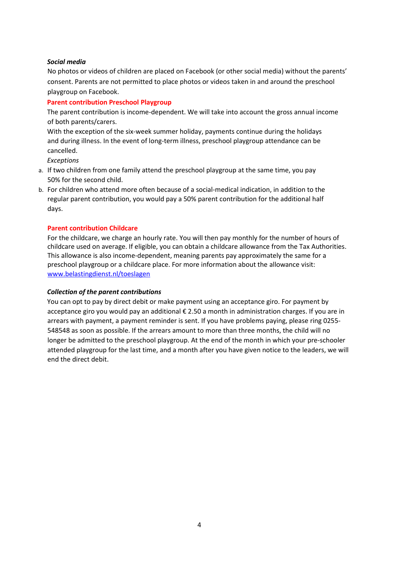#### *Social media*

No photos or videos of children are placed on Facebook (or other social media) without the parents' consent. Parents are not permitted to place photos or videos taken in and around the preschool playgroup on Facebook.

## **Parent contribution Preschool Playgroup**

The parent contribution is income-dependent. We will take into account the gross annual income of both parents/carers.

With the exception of the six-week summer holiday, payments continue during the holidays and during illness. In the event of long-term illness, preschool playgroup attendance can be cancelled.

*Exceptions*

- a. If two children from one family attend the preschool playgroup at the same time, you pay 50% for the second child.
- b. For children who attend more often because of a social-medical indication, in addition to the regular parent contribution, you would pay a 50% parent contribution for the additional half days.

## **Parent contribution Childcare**

For the childcare, we charge an hourly rate. You will then pay monthly for the number of hours of childcare used on average. If eligible, you can obtain a childcare allowance from the Tax Authorities. This allowance is also income-dependent, meaning parents pay approximately the same for a preschool playgroup or a childcare place. For more information about the allowance visit: [www.belastingdienst.nl/toeslagen](http://www.belastingdienst.nl/toeslagen)

#### *Collection of the parent contributions*

You can opt to pay by direct debit or make payment using an acceptance giro. For payment by acceptance giro you would pay an additional € 2.50 a month in administration charges. If you are in arrears with payment, a payment reminder is sent. If you have problems paying, please ring 0255- 548548 as soon as possible. If the arrears amount to more than three months, the child will no longer be admitted to the preschool playgroup. At the end of the month in which your pre-schooler attended playgroup for the last time, and a month after you have given notice to the leaders, we will end the direct debit.